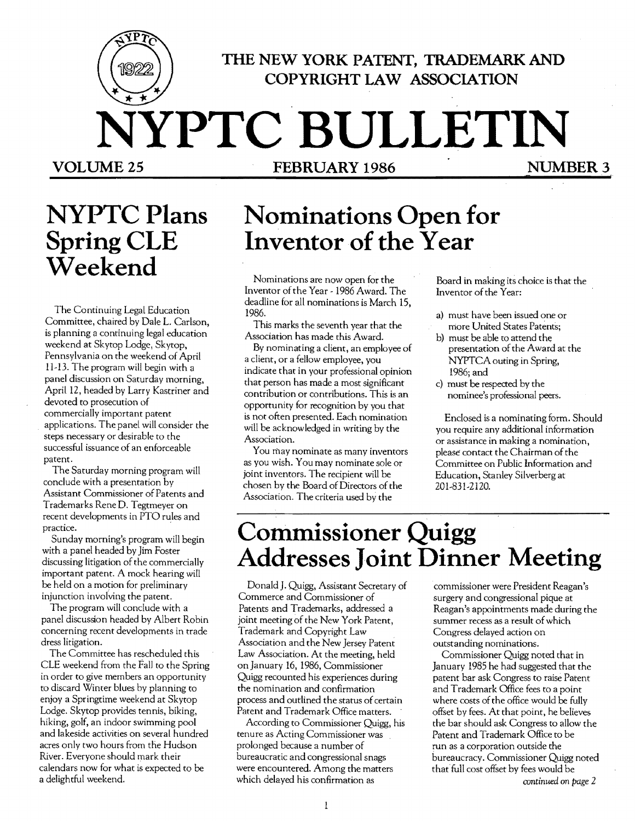

**THE NEW YORK PATENT, TRADEMARK AND COPYRIGHT LAW ASSOCIATION** 

# **NYPTC BULLETIN VOLUME 25 <b>FEBRUARY 1986** NUMBER 3

## **NYPTCPlans SpringCLE Weekend**

The Continuing Legal Education Committee, chaired by Dale L. Carlson, is planning a continuing legal education weekend at Skytop Lodge, Skytop, Pennsylvania on the weekend of April 11-13. The program will begin with a panel discussion on Saturday morning, April 12, headed by Larry Kastriner and devoted to prosecution of commercially important patent applications. The panel will consider the steps necessary or desirable to the successful issuance of an enforceable patent.

The Saturday morning program will conclude with a presentation by Assistant Commissioner of Patents and Trademarks Rene D. Tegtmeyer on recent developments in PTO rules and practice.

Sunday morning's program will begin with a panel headed by Jim Foster discussing litigation of the commercially important patent. A mock hearing witl be held on a motion for preliminary injunction involving the patent.

The program will conclude with a panel discussion headed by Albert Robin concerning recent developments in trade dress litigation.

The Committee has rescheduled this CLE weekend from the Fall to the Spring in order to give members an opportunity to discard Winter blues by planning to enjoy a Springtime weekend at Skytop Lodge. Skytop provides tennis, biking, hiking, golf, an indoor swimming pool and lakeside activities on several hundred acres only two hours from the Hudson River. Everyone should mark their calendars now for what is expected to be a delightful weekend.

## **Nominations Open for Inventor of the Year**

Nominations are now open for the Inventor of the Year - 1986 Award. The deadline for all nominations is March 15, 1986.

This marks the seventh year that the Association has made this Award.

By nominating a client, an employee of a client, or a fellow employee, you indicate that in your professional opinion that person has made a most significant contribution or contributions. This is an opportunity for recognition by you that is not often presented. Each nomination will be acknowledged **in** writing by the Association.

You may nominate as many inventors as you wish. You may nominate sole or joint inventors. The recipient will be chosen by the Board of Directors of the Association. The criteria used by the

Board in making its choice is that the Inventor of the Year:

- a) must have been issued one or niore United States Patents;
- b) must be able to attend the presentation of the Award at the NYPTCA outing in Spring, 1986; and
- c) must be respected by the nominee's professional peers.

Enclosed is a nominating form. Should you require any additional information or assistance in making a nomination, please contact the Chairman of the Committee on Public Information and Education, Stanley Silverberg at 201-831-2120.

## **Commissioner Quigg Addresses Joint Dinner Meeting**

Donald J. Quigg, Assistant Secretary of Commerce and Commissioner of Patents and Trademarks, addressed a joint meeting of the New York Patent, Trademark and Copyright Law Association and the New Jersey Patent Law Association. At the meeting, held on January 16,1986, Commissioner Quigg recounted his experiences during the nomination and confirmation process and outlined the status of certain Patent and Trademark Office matters.

According to Commissioner Quigg, his tenure as Acting Commissioner was prolonged because a number of bureaucratic and congressional snags were encountered. Among the matters which delayed his confirmation as

commissioner were President Reagan's surgery and congressional pique at Reagan's appointments made during the summer recess as a result of which Congress delayed action on outstanding nominations.

Commissioner Quigg noted that in January 1985 he had suggested that the patent bar ask Congress to raise Patent and Trademark Office fees to a point where costs of the office would be fully offset by fees. At that point, he believes the bar should ask Congress to allow the Patent and Trademark Office to be run as a corporation outside the bureaucracy. Commissioner Quigg noted that full cost offset by fees would be *rontinued* on *page 2*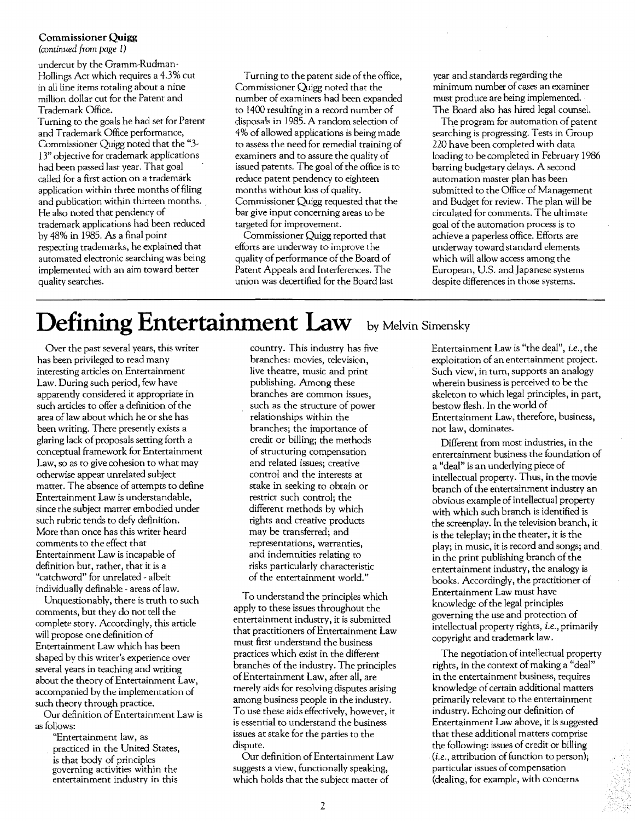## Commissioner Quigg

*(continued from page* 1)

undercut by the Gramm-Rudman-Hollings Act which requires a 4.3% cut in all line items totaling about a nine million dollar cut for the Patent and Trademark Office.

Tuming to the goals he had set for Patent and Trademark Office performance, Commissioner Quigg noted that the "3 13" objective for trademark applications had been passed last year. That goal called for a first action on a trademark application within three months of filing and publication within thirteen months. He also noted that pendency of trademark applications had been reduced by 48% in 1985. As a final point respecting trademarks, he explained that automated electronic searching was being implemented with an aim toward better quality searches.

Turning to the patent side of the office, Commissioner Quigg noted that the number of examiners had been expanded to 1400 resulting in a record number of disposals in 1985. A random selection of 4% of allowed applications is being made to assess the need for remedial training of examiners and to assure the quality of issued patents. The goal of the office is to reduce patent pendency to eighteen months without loss of quality. Commissioner Quigg requested that the bar give input concerning areas to be targeted for improvement.

Commissioner Quigg reported that efforts are underway to improve the quality of performance of the Board of Patent Appeals and Interferences. The union was decertified for the Board last

year and standards regarding the minimum number of cases an examiner must produce are being implemented. The Board also has hired legal counsel.

The program for automation of patent searching is progressing. Tests in Group 220 have been completed with data loading to be completed in February 1986 barring budgetary delays. A second automation master plan has been submitted to the Office of Management and Budget for review. The plan will be circulated for comments. The ultimate goal of the automation process is to achieve a paperless office. Efforts are underway toward standard elements which will allow access among the European, U.S. and Japanese systems despite differences in those systems.

## **Defining Entertainment Law** by Melvin Simensky

Over the past several years, this writer has been privileged to read many interesting articles on Entertainment Law. During such period, few have apparently considered it appropriate in such articles to offer a definition of the area of law about which he or she has been writing. There presently exists a glaring lack of proposals setting forth a conceptual framework for Entertainment Law, so as to give cohesion to what may otherwise appear unrelated subject matter. The absence of attempts to define Entertainment Law is understandable, since the subject matter embodied under such rubric tends to defy definition. More than once has this writer heard comments to the effect that Entertainment Law is incapable of definition but, rather, that it is a "catchword" for unrelated - albeit individually definable - areas of law.

Unquestionably, there is truth to such comments, but they do not tell the complete story. Accordingly, this article will propose one definition of Entertainment Law which has been shaped by this writer's experience over several years in teaching and writing about the theory of Entertainment Law, accompanied by the implementation of such theory through practice.

Our definition of Entertainment Law is as follows:

"Entertainment law, as practiced in the United States, is that body of principles governing activities within the entertainment industry in this

country. This industry has five branches: movies, television, live theatre, music and print publishing. Among these branches are common issues, such as the structure of power relationships within the branches; the importance of credit or billing; the methods of structuring compensation and related issues; creative control and the interests at stake in seeking to obtain or restrict such control; the different methods by which rights and creative products may be transferred; and representations, warranties, and indemnities relating to risks particularly characteristic of the entertainment world."

To understand the principles which apply to these issues throughout the entertainment industry, it is submitted that practitioners of Entertainment Law must first understand the business practices which exist in the different branches of the industry. The principles ofEntertainment Law, after all, are merely aids for resolving disputes arising among business people in the industry. To use these aids effectively, however, it is essential to understand the business issues at stake for the parties to the dispute.

Our definition of Entertainment Law suggests a view, functionally speaking, which holds that the subject matter of

Entertainment Law is "the deal", i.e., the exploitation of an entertainment project. Such view, in turn, supports an analogy wherein business is perceived to be the skeleton to which legal principles, in part, bestow flesh. In the world of Entertainment Law, therefore, business, not law, dominates.

Different from most industries, in the entertainment business the foundation of a "deal" is an underlying piece of intellectual property. Thus, in the movie branch of the entertainment industry an obvious example of intellectual property with which such branch is identified is the screenplay. In the television branch, it is the teleplay; in the theater, it is the play; in music, it is record and songs; and. in the print publishing branch of the entertainment industry, the analogy is books. Accordingly, the practitioner of Entertainment Law must have knowledge of the legal principles governing the use and protection of intellectual property rights, i.e., primarily copyright and trademark law.

The negotiation of intellectual property rights, in the context of making a "deal" in the entertainment business, requires knowledge of certain additional matters primarily relevant to the entertainment industry. Echoing our definition of Entertainment Law above, it is suggested that these additional matters comprise the following: issues of credit or billing  $(i.e.,$  attribution of function to person); particular issues of compensation (dealing, for example, with concerns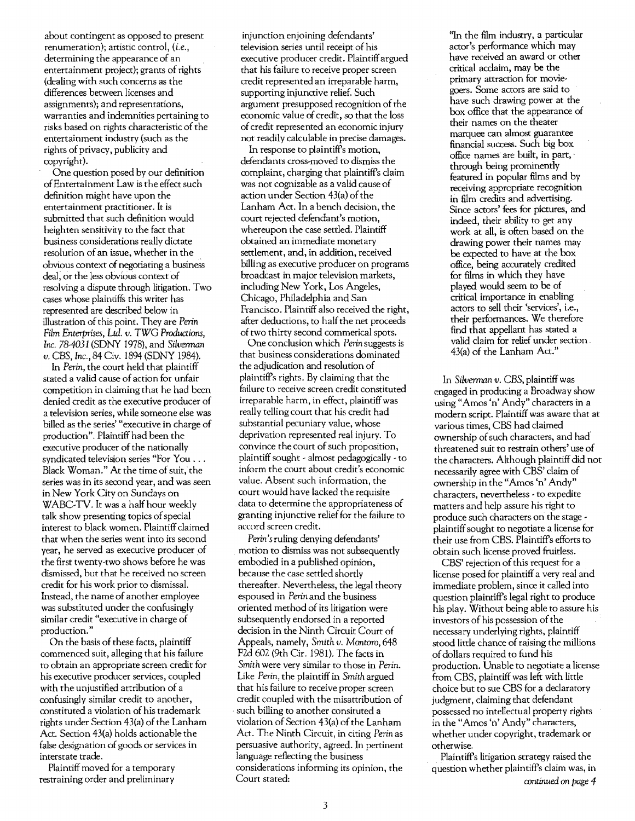about contingent as opposed to present renumeration); artistic control, (i.e., determining the appearance of an entertainment project); grants of rights (dealing with such concerns as the differences between licenses and assignments); and representations, warranties and indemnities pertaining to risks based on rights characteristic of the entertainment industry (such as the rights of privacy, publicity and copyright).

One question posed by our definition ofEntertainment Law is the effect such definition might have upon the entertainment practitioner. It is submitted that such definition would heighten sensitivity to the fact that business considerations really dictate resolution of an issue, whether in the obvious context of negotiating a business deal; or the less obvious context of resolving a dispute through litigation. Two cases whose plaintiffs this writer has represented are described below in illustration of this point. They are *Perin Film Enterprises, Ltd. v. TWG Productions,*  Inc. 78-4031 (SONY 1978), and *Silverman v. CBS, Inc.,* 84 Civ. 1894 (SONY 1984).

In *Perin,* the court held that plaintiff stated a valid cause of action for unfair competition in claiming that he had been denied credit as the executive producer of a television series, while someone else was billed as the series' "executive in charge of production". Plaintiff had been the executive producer of the nationally syndicated television series "For You ... Black Woman." At the time of suit, the series was in its second year, and was seen in New York City on Sundays on WABC-TV. It was a half hour weekly talk show presenting topics of special interest to black women. Plaintiff claimed that when the series went into its second year, he served as executive producer of the first twenty-two shows before he was dismissed, but that he received no screen credit for his work prior to dismissaL Instead, the name of another employee was substituted under the confusingly similar credit "executive in charge of production.'

On the basis of these facts, plaintiff commenced suit, alleging that his failure to obtain an appropriate screen credit for his executive producer services, coupled with the unjustified attribution of a confusingly similar credit to another, constituted a violation of his trademark rights under Section 43(a) of the Lanham Act. Section 43(a) holds actionable the false designation of goods or services in interstate trade.

Plaintiff moved for a temporary restraining order and preliminary

injunction enjoining defendants' television series until receipt of his executive producer credit. Plaintiff argued that his failure to receive proper screen credit represented an irreparable harm, supporting injunctive relief. Such argument presupposed recognition of the economic value of credit, so that the loss of credit represented an economic injury not readily calculable in precise damages.

In response to plaintiff's motion, defendants cross-moved to dismiss the complaint, charging that plaintiff's claim was not cognizable as a valid cause of action under Section 43(a) of the Lanham Act. In a bench decision, the court rejected defendant's motion, whereupon the case settled. Plaintiff obtained an immediate monetary settlement, and, in addition, received billing as executive producer on programs broadcast in major television markets, including New York, Los Angeles, Chicago, Philadelphia and San Francisco. Plaintiff also received the right, after deductions, to half the net proceeds oftwo thirty second commerical spots.

One conclusion which *Perin* suggests is that business considerations dominated the adjudication and resolution of plaintiff's rights. By claiming that the failure to receive screen credit constituted irreparable harm, in effect, plaintiff was really telling court that his credit had substantial pecuniary value, whose deprivation represented real injury. To convince the court of such proposition, plaintiff sought - almost pedagogically -to inform the court about credit's economic value. Absent such information, the court would have lacked the requisite data to determine the appropriateness of granting injunctive relief for the failure to accord screen credit.

*Perin's* ruling denying defendants' motion to dismiss was not subsequently embodied in a published opinion, because the case settled shortly thereafter. Nevertheless, the legal theory espoused in *Perin* and the business oriented method of its litigation were subsequently endorsed in a reported decision in the Ninth Circuit Court of Appeals, namely, *Smith v. Montora,* 648 F2d 602 (9th Cir. 1981). The facts in *Smith* were very similar to those in *Perin.*  Like *Perin,* the plaintiff in *Smith* argued that his failure to receive proper screen credit coupled with the misattribution of . such billing to another consituted a violation of Section 43(a) of the Lanham Act. The Ninth Circuit, in citing *Perin* as persuasive authority, agreed. In pertinent language reflecting the business considerations informing its opinion, the Court stated:

"In the film industry, a particular actor's performance which may have received an award or other critical acclaim, may be the primary attraction for moviegoers. Some actors are said to have such drawing power at the box office that the appearance of their names on the theater marquee can almost guarantee financial success. Such big box office names are built, in part, through being prominently featured in popular films and by receiving appropriate recognition in film credits and advertising. Since actors' fees for pictures, and indeed, their ability to get any work at all, is often based on the drawing power their names may be expected to have at the box office, being accurately credited for films in which they have played would seem to be of critical importance in enabling actors to sell their 'services', I.e., their performances. We therefore find that appellant has stated a valid claim for relief under section. 43(a) of the Lanham Act."

In *Silverman v. CBS,* plaintiff was engaged in producing a Broadway show using "Amos 'n' Andy" characters in a modern script. Plaintiff was aware that at various times, CBS had claimed ownership of such characters, and had threatened suit to restrain others' use of the characters. Although plaintiff did not necessarily agree with CBS' claim of ownership in the "Amos 'n' Andy" characters, nevertheless -to expedite matters and help assure his right to produce such characters on the stage plaintiff sought to negotiate a license for their use from CBS. Plaintiff's efforts to obtain such license proved fruitless.

CBS' rejection of this request for a license posed for plaintiff a very real and immediate problem, since it called into question plaintiff's legal right to produce his play. Without being able to assure his investors of his possession of the necessary underlying rights, plaintiff stood little chance of raising the millions of dollars required to fund his production. Unable to negotiate a license from CBS, plaintiff was left with little choice but to sue CBS for a declaratory judgment, claiming that defendant possessed no intellectual property rights in the "Amos 'n' Andy" characters, whether under copyright, trademark or otherwise.

Plaintiff's litigation strategy raised the question whether plaintiff's claim was, in continued on page 4